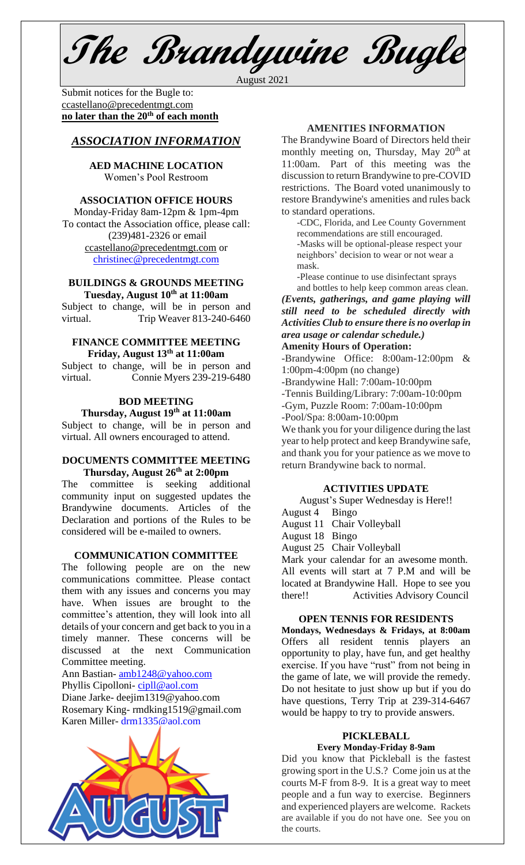**The Brandywine Bugle**

August 2021

Submit notices for the Bugle to: [ccastellano@precedentmgt.com](mailto:johnandbethgrooms@gmail.com) **no later than the 20th of each month**

## *ASSOCIATION INFORMATION*

**AED MACHINE LOCATION**  Women's Pool Restroom

#### **ASSOCIATION OFFICE HOURS**

Monday-Friday 8am-12pm & 1pm-4pm To contact the Association office, please call: (239)481-2326 or email [ccastellano@precedentmgt.com](mailto:ccastellano@precedentmgt.com) or [christinec@precedentmgt.com](mailto:christinec@precedentmgt.com)

#### **BUILDINGS & GROUNDS MEETING Tuesday, August 10th at 11:00am**

Subject to change, will be in person and virtual. Trip Weaver 813-240-6460

#### **FINANCE COMMITTEE MEETING Friday, August 13th at 11:00am**

Subject to change, will be in person and virtual. Connie Myers 239-219-6480

# **BOD MEETING**

**Thursday, August 19th at 11:00am**

Subject to change, will be in person and virtual. All owners encouraged to attend.

#### **DOCUMENTS COMMITTEE MEETING Thursday, August 26th at 2:00pm**

The committee is seeking additional community input on suggested updates the Brandywine documents. Articles of the Declaration and portions of the Rules to be considered will be e-mailed to owners.

#### **COMMUNICATION COMMITTEE**

The following people are on the new communications committee. Please contact them with any issues and concerns you may have. When issues are brought to the committee's attention, they will look into all details of your concern and get back to you in a timely manner. These concerns will be discussed at the next Communication Committee meeting.

Ann Bastian- [amb1248@yahoo.com](mailto:amb1248@yahoo.com) Phyllis Cipolloni- [cipll@aol.com](mailto:cipll@aol.com) Diane Jarke- deejim1319@yahoo.com Rosemary King- rmdking1519@gmail.com Karen Miller- [drm1335@aol.com](mailto:drm1335@aol.com)



## **AMENITIES INFORMATION**

The Brandywine Board of Directors held their monthly meeting on, Thursday, May 20<sup>th</sup> at 11:00am. Part of this meeting was the discussion to return Brandywine to pre-COVID restrictions. The Board voted unanimously to restore Brandywine's amenities and rules back to standard operations.

-CDC, Florida, and Lee County Government recommendations are still encouraged. -Masks will be optional-please respect your neighbors' decision to wear or not wear a mask.

-Please continue to use disinfectant sprays and bottles to help keep common areas clean.

*(Events, gatherings, and game playing will still need to be scheduled directly with Activities Club to ensure there is no overlap in area usage or calendar schedule.)*

## **Amenity Hours of Operation:**

-Brandywine Office: 8:00am-12:00pm & 1:00pm-4:00pm (no change)

-Brandywine Hall: 7:00am-10:00pm

-Tennis Building/Library: 7:00am-10:00pm

-Gym, Puzzle Room: 7:00am-10:00pm

-Pool/Spa: 8:00am-10:00pm

We thank you for your diligence during the last year to help protect and keep Brandywine safe, and thank you for your patience as we move to return Brandywine back to normal.

#### **ACTIVITIES UPDATE**

August's Super Wednesday is Here!!

- August 4 Bingo
- August 11 Chair Volleyball
- August 18 Bingo
- August 25 Chair Volleyball

Mark your calendar for an awesome month. All events will start at 7 P.M and will be located at Brandywine Hall. Hope to see you there!! Activities Advisory Council

## **OPEN TENNIS FOR RESIDENTS**

**Mondays, Wednesdays & Fridays, at 8:00am** Offers all resident tennis players an opportunity to play, have fun, and get healthy exercise. If you have "rust" from not being in the game of late, we will provide the remedy. Do not hesitate to just show up but if you do have questions, Terry Trip at 239-314-6467 would be happy to try to provide answers.

#### **PICKLEBALL Every Monday-Friday 8-9am**

Did you know that Pickleball is the fastest growing sport in the U.S.? Come join us at the courts M-F from 8-9. It is a great way to meet people and a fun way to exercise. Beginners and experienced players are welcome. Rackets are available if you do not have one. See you on the courts.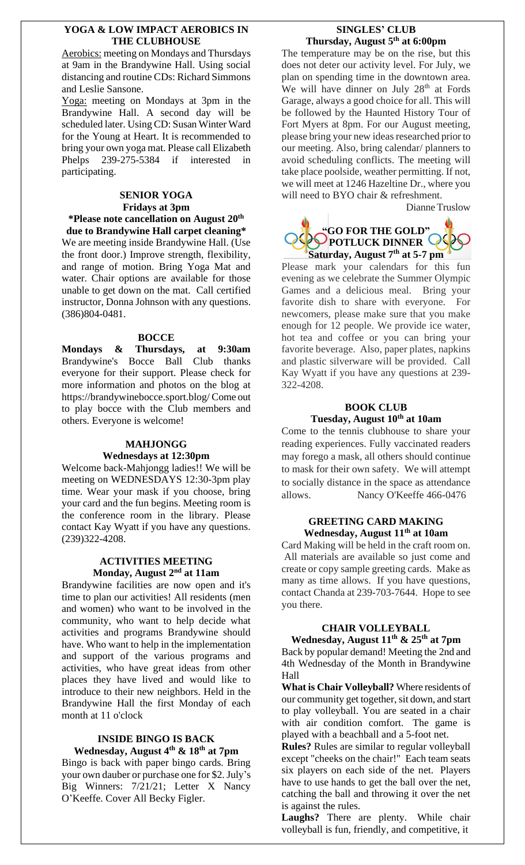#### **YOGA & LOW IMPACT AEROBICS IN THE CLUBHOUSE**

Aerobics: meeting on Mondays and Thursdays at 9am in the Brandywine Hall. Using social distancing and routine CDs: Richard Simmons and Leslie Sansone.

Yoga: meeting on Mondays at 3pm in the Brandywine Hall. A second day will be scheduled later. Using CD: Susan Winter Ward for the Young at Heart. It is recommended to bring your own yoga mat. Please call Elizabeth Phelps 239-275-5384 if interested in participating.

#### **SENIOR YOGA Fridays at 3pm \*Please note cancellation on August 20th**

**due to Brandywine Hall carpet cleaning\*** We are meeting inside Brandywine Hall. (Use the front door.) Improve strength, flexibility, and range of motion. Bring Yoga Mat and water. Chair options are available for those unable to get down on the mat. Call certified instructor, Donna Johnson with any questions. (386)804-0481.

#### **BOCCE**

**Mondays & Thursdays, at 9:30am** Brandywine's Bocce Ball Club thanks everyone for their support. Please check for more information and photos on the blog at https://brandywinebocce.sport.blog/ Come out to play bocce with the Club members and others. Everyone is welcome!

#### **MAHJONGG Wednesdays at 12:30pm**

Welcome back-Mahjongg ladies!! We will be meeting on WEDNESDAYS 12:30-3pm play time. Wear your mask if you choose, bring your card and the fun begins. Meeting room is the conference room in the library. Please contact Kay Wyatt if you have any questions. (239)322-4208.

#### **ACTIVITIES MEETING Monday, August 2 nd at 11am**

Brandywine facilities are now open and it's time to plan our activities! All residents (men and women) who want to be involved in the community, who want to help decide what activities and programs Brandywine should have. Who want to help in the implementation and support of the various programs and activities, who have great ideas from other places they have lived and would like to introduce to their new neighbors. Held in the Brandywine Hall the first Monday of each month at 11 o'clock

## **INSIDE BINGO IS BACK Wednesday, August 4 th & 18th at 7pm**

Bingo is back with paper bingo cards. Bring your own dauber or purchase one for \$2. July's Big Winners: 7/21/21; Letter X Nancy O'Keeffe. Cover All Becky Figler.

## **SINGLES' CLUB Thursday, August 5th at 6:00pm**

The temperature may be on the rise, but this does not deter our activity level. For July, we plan on spending time in the downtown area. We will have dinner on July 28<sup>th</sup> at Fords Garage, always a good choice for all. This will be followed by the Haunted History Tour of Fort Myers at 8pm. For our August meeting, please bring your new ideas researched prior to our meeting. Also, bring calendar/ planners to avoid scheduling conflicts. The meeting will take place poolside, weather permitting. If not, we will meet at 1246 Hazeltine Dr., where you will need to BYO chair & refreshment.

Dianne Truslow



Please mark your calendars for this fun evening as we celebrate the Summer Olympic Games and a delicious meal. Bring your favorite dish to share with everyone. For newcomers, please make sure that you make enough for 12 people. We provide ice water, hot tea and coffee or you can bring your favorite beverage. Also, paper plates, napkins and plastic silverware will be provided. Call Kay Wyatt if you have any questions at 239- 322-4208.

## **BOOK CLUB Tuesday, August 10 th at 10am**

Come to the tennis clubhouse to share your reading experiences. Fully vaccinated readers may forego a mask, all others should continue to mask for their own safety. We will attempt to socially distance in the space as attendance allows. Nancy O'Keeffe 466-0476

#### **GREETING CARD MAKING Wednesday, August 11 th at 10am**

Card Making will be held in the craft room on. All materials are available so just come and create or copy sample greeting cards. Make as many as time allows. If you have questions, contact Chanda at 239-703-7644. Hope to see you there.

## **CHAIR VOLLEYBALL**

**Wednesday, August 11 th & 25 th at 7pm** Back by popular demand! Meeting the 2nd and 4th Wednesday of the Month in Brandywine Hall

**What is Chair Volleyball?** Where residents of our community get together, sit down, and start to play volleyball. You are seated in a chair with air condition comfort. The game is played with a beachball and a 5-foot net.

**Rules?** Rules are similar to regular volleyball except "cheeks on the chair!" Each team seats six players on each side of the net. Players have to use hands to get the ball over the net, catching the ball and throwing it over the net is against the rules.

**Laughs?** There are plenty. While chair volleyball is fun, friendly, and competitive, it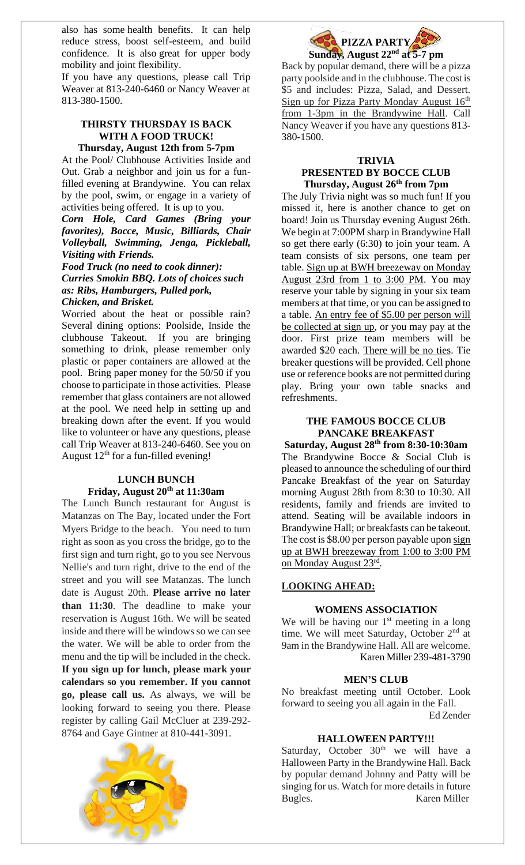also has some health benefits. It can help reduce stress, boost self-esteem, and build confidence. It is also great for upper body mobility and joint flexibility.

If you have any questions, please call Trip Weaver at 813-240-6460 or Nancy Weaver at 813-380-1500.

### **THIRSTY THURSDAY IS BACK WITH A FOOD TRUCK! Thursday, August 12th from 5-7pm**

At the Pool/ Clubhouse Activities Inside and Out. Grab a neighbor and join us for a funfilled evening at Brandywine. You can relax by the pool, swim, or engage in a variety of activities being offered. It is up to you.

*Corn Hole, Card Games (Bring your favorites), Bocce, Music, Billiards, Chair Volleyball, Swimming, Jenga, Pickleball, Visiting with Friends.*

*Food Truck (no need to cook dinner): Curries Smokin BBQ. Lots of choices such as: Ribs, Hamburgers, Pulled pork, Chicken, and Brisket.* 

Worried about the heat or possible rain? Several dining options: Poolside, Inside the clubhouse Takeout. If you are bringing something to drink, please remember only plastic or paper containers are allowed at the pool. Bring paper money for the 50/50 if you choose to participate in those activities. Please remember that glass containers are not allowed at the pool. We need help in setting up and breaking down after the event. If you would like to volunteer or have any questions, please call Trip Weaver at 813-240-6460. See you on August  $12<sup>th</sup>$  for a fun-filled evening!

#### **LUNCH BUNCH Friday, August 20th at 11:30am**

The Lunch Bunch restaurant for August is Matanzas on The Bay, located under the Fort Myers Bridge to the beach. You need to turn right as soon as you cross the bridge, go to the first sign and turn right, go to you see Nervous Nellie's and turn right, drive to the end of the street and you will see Matanzas. The lunch date is August 20th. **Please arrive no later than 11:30**. The deadline to make your reservation is August 16th. We will be seated inside and there will be windows so we can see the water. We will be able to order from the menu and the tip will be included in the check. **If you sign up for lunch, please mark your calendars so you remember. If you cannot go, please call us.** As always, we will be looking forward to seeing you there. Please register by calling Gail McCluer at 239-292- 8764 and Gaye Gintner at 810-441-3091.





Back by popular demand, there will be a pizza party poolside and in the clubhouse. The cost is \$5 and includes: Pizza, Salad, and Dessert. Sign up for Pizza Party Monday August  $16<sup>th</sup>$ from 1-3pm in the Brandywine Hall. Call Nancy Weaver if you have any questions 813- 380-1500.

## **TRIVIA**

## **PRESENTED BY BOCCE CLUB Thursday, August 26 th from 7pm**

The July Trivia night was so much fun! If you missed it, here is another chance to get on board! Join us Thursday evening August 26th. We begin at 7:00PM sharp in Brandywine Hall so get there early (6:30) to join your team. A team consists of six persons, one team per table. Sign up at BWH breezeway on Monday August 23rd from 1 to 3:00 PM. You may reserve your table by signing in your six team members at that time, or you can be assigned to a table. An entry fee of \$5.00 per person will be collected at sign up, or you may pay at the door. First prize team members will be awarded \$20 each. There will be no ties. Tie breaker questions will be provided. Cell phone use or reference books are not permitted during play. Bring your own table snacks and refreshments.

## **THE FAMOUS BOCCE CLUB PANCAKE BREAKFAST**

**Saturday, August 28 th from 8:30-10:30am** The Brandywine Bocce & Social Club is pleased to announce the scheduling of our third Pancake Breakfast of the year on Saturday morning August 28th from 8:30 to 10:30. All residents, family and friends are invited to attend. Seating will be available indoors in Brandywine Hall; or breakfasts can be takeout. The cost is \$8.00 per person payable upon sign up at BWH breezeway from 1:00 to 3:00 PM on Monday August 23rd .

## **LOOKING AHEAD:**

## **WOMENS ASSOCIATION**

We will be having our  $1<sup>st</sup>$  meeting in a long time. We will meet Saturday, October 2<sup>nd</sup> at 9am in the Brandywine Hall. All are welcome. Karen Miller 239-481-3790

## **MEN'S CLUB**

No breakfast meeting until October. Look forward to seeing you all again in the Fall. Ed Zender

## **HALLOWEEN PARTY!!!**

Saturday, October  $30<sup>th</sup>$  we will have a Halloween Party in the Brandywine Hall. Back by popular demand Johnny and Patty will be singing for us. Watch for more details in future Bugles. Karen Miller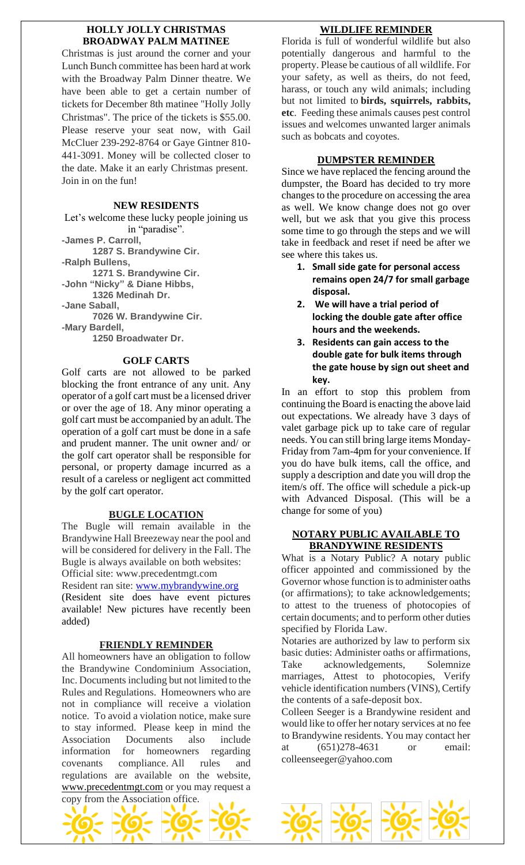#### **HOLLY JOLLY CHRISTMAS BROADWAY PALM MATINEE**

Christmas is just around the corner and your Lunch Bunch committee has been hard at work with the Broadway Palm Dinner theatre. We have been able to get a certain number of tickets for December 8th matinee "Holly Jolly Christmas". The price of the tickets is \$55.00. Please reserve your seat now, with Gail McCluer 239-292-8764 or Gaye Gintner 810- 441-3091. Money will be collected closer to the date. Make it an early Christmas present. Join in on the fun!

#### **NEW RESIDENTS**

Let's welcome these lucky people joining us in "paradise".

**-James P. Carroll,**

**1287 S. Brandywine Cir.**

**-Ralph Bullens,**

**1271 S. Brandywine Cir.**

**-John "Nicky" & Diane Hibbs, 1326 Medinah Dr.**

**-Jane Saball,**

**7026 W. Brandywine Cir.**

**-Mary Bardell,**

**1250 Broadwater Dr.**

#### **GOLF CARTS**

Golf carts are not allowed to be parked blocking the front entrance of any unit. Any operator of a golf cart must be a licensed driver or over the age of 18. Any minor operating a golf cart must be accompanied by an adult. The operation of a golf cart must be done in a safe and prudent manner. The unit owner and/ or the golf cart operator shall be responsible for personal, or property damage incurred as a result of a careless or negligent act committed by the golf cart operator.

## **BUGLE LOCATION**

The Bugle will remain available in the Brandywine Hall Breezeway near the pool and will be considered for delivery in the Fall. The Bugle is always available on both websites: Official site: www.precedentmgt.com

Resident ran site: [www.mybrandywine.org](http://www.mybrandywine.org/) (Resident site does have event pictures available! New pictures have recently been added)

## **FRIENDLY REMINDER**

All homeowners have an obligation to follow the Brandywine Condominium Association, Inc. Documents including but not limited to the Rules and Regulations. Homeowners who are not in compliance will receive a violation notice. To avoid a violation notice, make sure to stay informed. Please keep in mind the Association Documents also include information for homeowners regarding covenants compliance. All rules and regulations are available on the website, [www.precedentmgt.com](http://www.precedentmgt.com/) or you may request a copy from the Association office.



## **WILDLIFE REMINDER**

Florida is full of wonderful wildlife but also potentially dangerous and harmful to the property. Please be cautious of all wildlife. For your safety, as well as theirs, do not feed, harass, or touch any wild animals; including but not limited to **birds, squirrels, rabbits, etc**. Feeding these animals causes pest control issues and welcomes unwanted larger animals such as bobcats and coyotes.

#### **DUMPSTER REMINDER**

Since we have replaced the fencing around the dumpster, the Board has decided to try more changes to the procedure on accessing the area as well. We know change does not go over well, but we ask that you give this process some time to go through the steps and we will take in feedback and reset if need be after we see where this takes us.

- **1. Small side gate for personal access remains open 24/7 for small garbage disposal.**
- **2. We will have a trial period of locking the double gate after office hours and the weekends.**
- **3. Residents can gain access to the double gate for bulk items through the gate house by sign out sheet and key.**

In an effort to stop this problem from continuing the Board is enacting the above laid out expectations. We already have 3 days of valet garbage pick up to take care of regular needs. You can still bring large items Monday-Friday from 7am-4pm for your convenience. If you do have bulk items, call the office, and supply a description and date you will drop the item/s off. The office will schedule a pick-up with Advanced Disposal. (This will be a change for some of you)

## **NOTARY PUBLIC AVAILABLE TO BRANDYWINE RESIDENTS**

What is a Notary Public? A notary public officer appointed and commissioned by the Governor whose function is to administer oaths (or affirmations); to take acknowledgements; to attest to the trueness of photocopies of certain documents; and to perform other duties specified by Florida Law.

Notaries are authorized by law to perform six basic duties: Administer oaths or affirmations, Take acknowledgements, Solemnize marriages, Attest to photocopies, Verify vehicle identification numbers (VINS), Certify the contents of a safe-deposit box.

Colleen Seeger is a Brandywine resident and would like to offer her notary services at no fee to Brandywine residents. You may contact her at (651)278-4631 or email: colleenseeger@yahoo.com